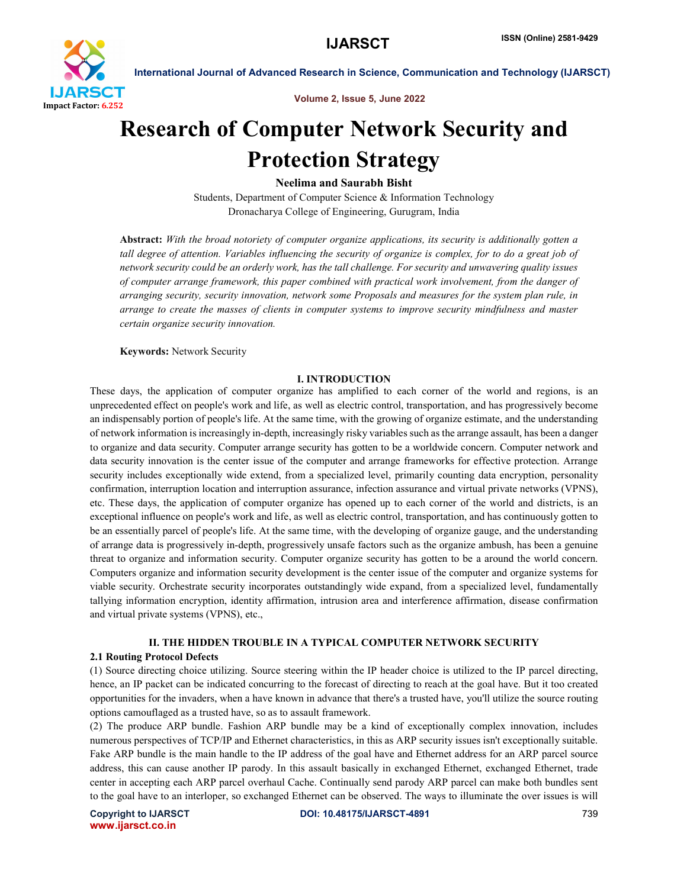

Volume 2, Issue 5, June 2022

# Research of Computer Network Security and Protection Strategy

Neelima and Saurabh Bisht

Students, Department of Computer Science & Information Technology Dronacharya College of Engineering, Gurugram, India

Abstract: *With the broad notoriety of computer organize applications, its security is additionally gotten a tall degree of attention. Variables influencing the security of organize is complex, for to do a great job of network security could be an orderly work, has the tall challenge. For security and unwavering quality issues of computer arrange framework, this paper combined with practical work involvement, from the danger of arranging security, security innovation, network some Proposals and measures for the system plan rule, in arrange to create the masses of clients in computer systems to improve security mindfulness and master certain organize security innovation.*

Keywords: Network Security

#### I. INTRODUCTION

These days, the application of computer organize has amplified to each corner of the world and regions, is an unprecedented effect on people's work and life, as well as electric control, transportation, and has progressively become an indispensably portion of people's life. At the same time, with the growing of organize estimate, and the understanding of network information is increasingly in-depth, increasingly risky variables such as the arrange assault, has been a danger to organize and data security. Computer arrange security has gotten to be a worldwide concern. Computer network and data security innovation is the center issue of the computer and arrange frameworks for effective protection. Arrange security includes exceptionally wide extend, from a specialized level, primarily counting data encryption, personality confirmation, interruption location and interruption assurance, infection assurance and virtual private networks (VPNS), etc. These days, the application of computer organize has opened up to each corner of the world and districts, is an exceptional influence on people's work and life, as well as electric control, transportation, and has continuously gotten to be an essentially parcel of people's life. At the same time, with the developing of organize gauge, and the understanding of arrange data is progressively in-depth, progressively unsafe factors such as the organize ambush, has been a genuine threat to organize and information security. Computer organize security has gotten to be a around the world concern. Computers organize and information security development is the center issue of the computer and organize systems for viable security. Orchestrate security incorporates outstandingly wide expand, from a specialized level, fundamentally tallying information encryption, identity affirmation, intrusion area and interference affirmation, disease confirmation and virtual private systems (VPNS), etc.,

# II. THE HIDDEN TROUBLE IN A TYPICAL COMPUTER NETWORK SECURITY

# 2.1 Routing Protocol Defects

(1) Source directing choice utilizing. Source steering within the IP header choice is utilized to the IP parcel directing, hence, an IP packet can be indicated concurring to the forecast of directing to reach at the goal have. But it too created opportunities for the invaders, when a have known in advance that there's a trusted have, you'll utilize the source routing options camouflaged as a trusted have, so as to assault framework.

(2) The produce ARP bundle. Fashion ARP bundle may be a kind of exceptionally complex innovation, includes numerous perspectives of TCP/IP and Ethernet characteristics, in this as ARP security issues isn't exceptionally suitable. Fake ARP bundle is the main handle to the IP address of the goal have and Ethernet address for an ARP parcel source address, this can cause another IP parody. In this assault basically in exchanged Ethernet, exchanged Ethernet, trade center in accepting each ARP parcel overhaul Cache. Continually send parody ARP parcel can make both bundles sent to the goal have to an interloper, so exchanged Ethernet can be observed. The ways to illuminate the over issues is will

www.ijarsct.co.in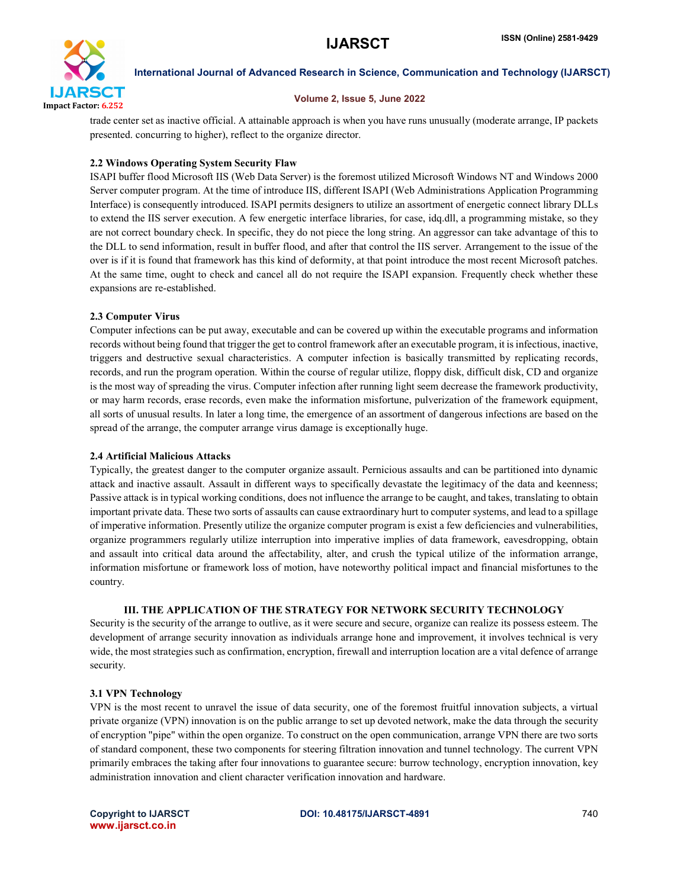

### Volume 2, Issue 5, June 2022

trade center set as inactive official. A attainable approach is when you have runs unusually (moderate arrange, IP packets presented. concurring to higher), reflect to the organize director.

# 2.2 Windows Operating System Security Flaw

ISAPI buffer flood Microsoft IIS (Web Data Server) is the foremost utilized Microsoft Windows NT and Windows 2000 Server computer program. At the time of introduce IIS, different ISAPI (Web Administrations Application Programming Interface) is consequently introduced. ISAPI permits designers to utilize an assortment of energetic connect library DLLs to extend the IIS server execution. A few energetic interface libraries, for case, idq.dll, a programming mistake, so they are not correct boundary check. In specific, they do not piece the long string. An aggressor can take advantage of this to the DLL to send information, result in buffer flood, and after that control the IIS server. Arrangement to the issue of the over is if it is found that framework has this kind of deformity, at that point introduce the most recent Microsoft patches. At the same time, ought to check and cancel all do not require the ISAPI expansion. Frequently check whether these expansions are re-established.

# 2.3 Computer Virus

Computer infections can be put away, executable and can be covered up within the executable programs and information records without being found that trigger the get to control framework after an executable program, it is infectious, inactive, triggers and destructive sexual characteristics. A computer infection is basically transmitted by replicating records, records, and run the program operation. Within the course of regular utilize, floppy disk, difficult disk, CD and organize is the most way of spreading the virus. Computer infection after running light seem decrease the framework productivity, or may harm records, erase records, even make the information misfortune, pulverization of the framework equipment, all sorts of unusual results. In later a long time, the emergence of an assortment of dangerous infections are based on the spread of the arrange, the computer arrange virus damage is exceptionally huge.

# 2.4 Artificial Malicious Attacks

Typically, the greatest danger to the computer organize assault. Pernicious assaults and can be partitioned into dynamic attack and inactive assault. Assault in different ways to specifically devastate the legitimacy of the data and keenness; Passive attack is in typical working conditions, does not influence the arrange to be caught, and takes, translating to obtain important private data. These two sorts of assaults can cause extraordinary hurt to computer systems, and lead to a spillage of imperative information. Presently utilize the organize computer program is exist a few deficiencies and vulnerabilities, organize programmers regularly utilize interruption into imperative implies of data framework, eavesdropping, obtain and assault into critical data around the affectability, alter, and crush the typical utilize of the information arrange, information misfortune or framework loss of motion, have noteworthy political impact and financial misfortunes to the country.

# III. THE APPLICATION OF THE STRATEGY FOR NETWORK SECURITY TECHNOLOGY

Security is the security of the arrange to outlive, as it were secure and secure, organize can realize its possess esteem. The development of arrange security innovation as individuals arrange hone and improvement, it involves technical is very wide, the most strategies such as confirmation, encryption, firewall and interruption location are a vital defence of arrange security.

# 3.1 VPN Technology

VPN is the most recent to unravel the issue of data security, one of the foremost fruitful innovation subjects, a virtual private organize (VPN) innovation is on the public arrange to set up devoted network, make the data through the security of encryption "pipe" within the open organize. To construct on the open communication, arrange VPN there are two sorts of standard component, these two components for steering filtration innovation and tunnel technology. The current VPN primarily embraces the taking after four innovations to guarantee secure: burrow technology, encryption innovation, key administration innovation and client character verification innovation and hardware.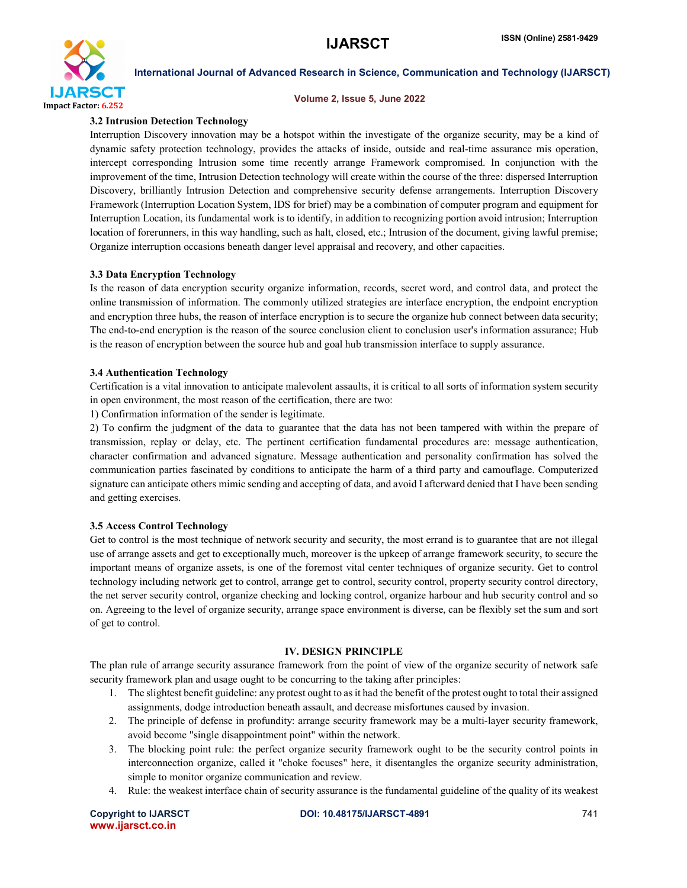

#### Volume 2, Issue 5, June 2022

### 3.2 Intrusion Detection Technology

Interruption Discovery innovation may be a hotspot within the investigate of the organize security, may be a kind of dynamic safety protection technology, provides the attacks of inside, outside and real-time assurance mis operation, intercept corresponding Intrusion some time recently arrange Framework compromised. In conjunction with the improvement of the time, Intrusion Detection technology will create within the course of the three: dispersed Interruption Discovery, brilliantly Intrusion Detection and comprehensive security defense arrangements. Interruption Discovery Framework (Interruption Location System, IDS for brief) may be a combination of computer program and equipment for Interruption Location, its fundamental work is to identify, in addition to recognizing portion avoid intrusion; Interruption location of forerunners, in this way handling, such as halt, closed, etc.; Intrusion of the document, giving lawful premise; Organize interruption occasions beneath danger level appraisal and recovery, and other capacities.

# 3.3 Data Encryption Technology

Is the reason of data encryption security organize information, records, secret word, and control data, and protect the online transmission of information. The commonly utilized strategies are interface encryption, the endpoint encryption and encryption three hubs, the reason of interface encryption is to secure the organize hub connect between data security; The end-to-end encryption is the reason of the source conclusion client to conclusion user's information assurance; Hub is the reason of encryption between the source hub and goal hub transmission interface to supply assurance.

#### 3.4 Authentication Technology

Certification is a vital innovation to anticipate malevolent assaults, it is critical to all sorts of information system security in open environment, the most reason of the certification, there are two:

1) Confirmation information of the sender is legitimate.

2) To confirm the judgment of the data to guarantee that the data has not been tampered with within the prepare of transmission, replay or delay, etc. The pertinent certification fundamental procedures are: message authentication, character confirmation and advanced signature. Message authentication and personality confirmation has solved the communication parties fascinated by conditions to anticipate the harm of a third party and camouflage. Computerized signature can anticipate others mimic sending and accepting of data, and avoid I afterward denied that I have been sending and getting exercises.

# 3.5 Access Control Technology

Get to control is the most technique of network security and security, the most errand is to guarantee that are not illegal use of arrange assets and get to exceptionally much, moreover is the upkeep of arrange framework security, to secure the important means of organize assets, is one of the foremost vital center techniques of organize security. Get to control technology including network get to control, arrange get to control, security control, property security control directory, the net server security control, organize checking and locking control, organize harbour and hub security control and so on. Agreeing to the level of organize security, arrange space environment is diverse, can be flexibly set the sum and sort of get to control.

#### IV. DESIGN PRINCIPLE

The plan rule of arrange security assurance framework from the point of view of the organize security of network safe security framework plan and usage ought to be concurring to the taking after principles:

- 1. The slightest benefit guideline: any protest ought to as it had the benefit of the protest ought to total their assigned assignments, dodge introduction beneath assault, and decrease misfortunes caused by invasion.
- 2. The principle of defense in profundity: arrange security framework may be a multi-layer security framework, avoid become "single disappointment point" within the network.
- 3. The blocking point rule: the perfect organize security framework ought to be the security control points in interconnection organize, called it "choke focuses" here, it disentangles the organize security administration, simple to monitor organize communication and review.
- 4. Rule: the weakest interface chain of security assurance is the fundamental guideline of the quality of its weakest

|                   | <b>Copyright to IJARSCT</b> |
|-------------------|-----------------------------|
| www.ijarsct.co.in |                             |